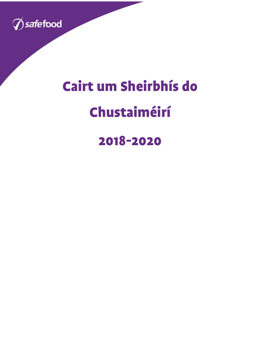

# Cairt um Sheirbhís do

## Chustaiméirí

### 2018-2020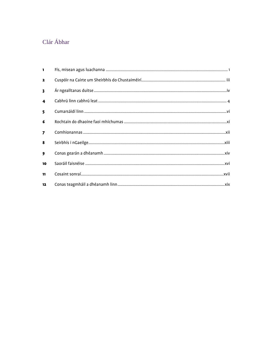#### Clár Ábhar

| $\blacksquare$          |  |
|-------------------------|--|
| $\mathbf{2}$            |  |
| $\overline{\mathbf{3}}$ |  |
| $\overline{\mathbf{4}}$ |  |
| 5                       |  |
| 6                       |  |
| $\overline{z}$          |  |
| 8                       |  |
| 9                       |  |
| 10                      |  |
| 11                      |  |
| 12                      |  |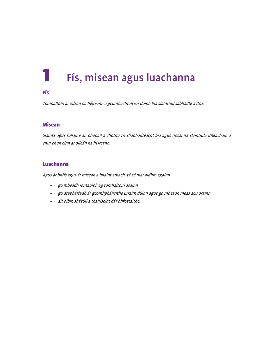### <span id="page-2-0"></span>Fís, misean agus luachanna

#### Fís

Tomhaltóirí ar oileán na hÉireann a gcumhachtaítear dóibh bia sláintiúil sábháilte a ithe.

#### Misean

Sláinte agus folláine an phobail a chothú trí shábháilteacht bia agus nósanna sláintiúla itheacháin a chur chun cinn ar oileán na hÉireann.

#### Luachanna

Agus ár bhfís agus ár misean a bhaint amach, tá sé mar aidhm againn

- go mbeadh iontaoibh ag tomhaltóirí asainn
- go dtabharfadh ár gcomhpháirtithe urraim dúinn agus go mbeadh meas acu orainn
- áit oibre shásúil a thairiscint dár bhfostaithe.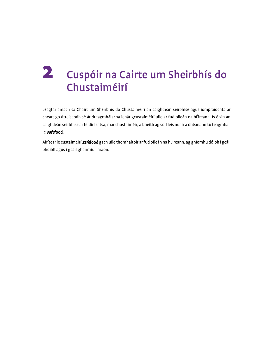### <span id="page-3-0"></span>2 Cuspóir na Cairte um Sheirbhís do Chustaiméirí

Leagtar amach sa Chairt um Sheirbhís do Chustaiméirí an caighdeán seirbhíse agus iompraíochta ar cheart go dtreiseodh sé ár dteagmhálacha lenár gcustaiméirí uile ar fud oileán na hÉireann. Is é sin an caighdeán seirbhíse ar féidir leatsa, mar chustaiméir, a bheith ag súil leis nuair a dhéanann tú teagmháil le safefood.

Áirítear le custaiméirí *safe*food gach uile thomhaltóir ar fud oileán na hÉireann, ag gníomhú dóibh i gcáil phoiblí agus i gcáil ghairmiúil araon.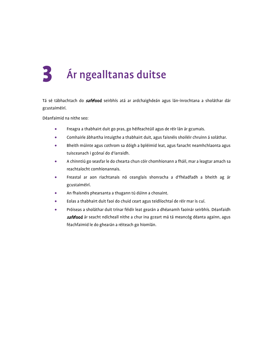## <span id="page-4-0"></span>3 Ár ngealltanas duitse

Tá sé tábhachtach do *safe*food seirbhís atá ar ardchaighdeán agus lán-inrochtana a sholáthar dár gcustaiméirí.

Déanfaimid na nithe seo:

- Freagra a thabhairt duit go pras, go héifeachtúil agus de réir lán ár gcumais.
- Comhairle ábhartha intuigthe a thabhairt duit, agus faisnéis shoiléir chruinn á soláthar.
- Bheith múinte agus cothrom sa dóigh a bpléimid leat, agus fanacht neamhchlaonta agus tuisceanach i gcónaí do d'iarraidh.
- A chinntiú go seasfar le do chearta chun cóir chomhionann a fháil, mar a leagtar amach sa reachtaíocht comhionannais.
- Freastal ar aon riachtanais nó ceanglais shonracha a d'fhéadfadh a bheith ag ár gcustaiméirí.
- An fhaisnéis phearsanta a thugann tú dúinn a chosaint.
- Eolas a thabhairt duit faoi do chuid ceart agus teidlíochtaí de réir mar is cuí.
- Próiseas a sholáthar duit trínar féidir leat gearán a dhéanamh faoinár seirbhís. Déanfaidh safefood ár seacht ndícheall nithe a chur ina gceart má tá meancóg déanta againn, agus féachfaimid le do ghearán a réiteach go hiomlán.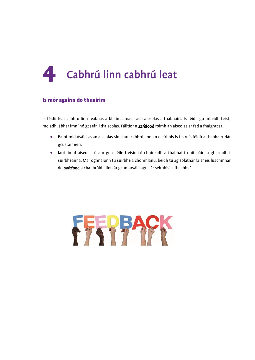<span id="page-5-0"></span>

#### Is mór againn do thuairim

Is féidir leat cabhrú linn feabhas a bhaint amach ach aiseolas a thabhairt. Is féidir go mbeidh teist, moladh, ábhar imní nó gearán i d'aiseolas. Fáiltíonn safefood roimh an aiseolas ar fad a fhaightear.

- Bainfimid úsáid as an aiseolas sin chun cabhrú linn an tseirbhís is fearr is féidir a thabhairt dár gcustaiméirí.
- Iarrfaimid aiseolas ó am go chéile freisin trí chuireadh a thabhairt duit páirt a ghlacadh i suirbhéanna. Má roghnaíonn tú suirbhé a chomhlánú, beidh tú ag soláthar faisnéis luachmhar do safefood a chabhróidh linn ár gcumarsáid agus ár seirbhísí a fheabhsú.

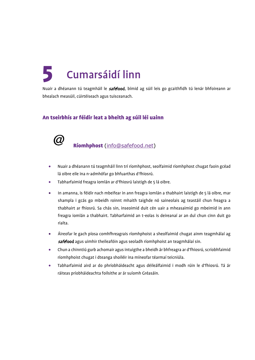## <span id="page-6-0"></span>5 Cumarsáidí linn

Nuair a dhéanann tú teagmháil le safefood, bímid ag súil leis go gcaithfidh tú lenár bhfoireann ar bhealach measúil, cúirtéiseach agus tuisceanach.

#### An tseirbhís ar féidir leat a bheith ag súil léi uainn



Ríomhphost [\(info@safefood.net\)](mailto:info@safefood.net)

- Nuair a dhéanann tú teagmháil linn trí ríomhphost, seolfaimid ríomhphost chugat faoin gcéad lá oibre eile ina n-admhófar go bhfuarthas d'fhiosrú.
- Tabharfaimid freagra iomlán ar d'fhiosrú laistigh de 5 lá oibre.
- In amanna, is féidir nach mbeifear in ann freagra iomlán a thabhairt laistigh de 5 lá oibre, mar shampla i gcás go mbeidh roinnt mhaith taighde nó saineolais ag teastáil chun freagra a thabhairt ar fhiosrú. Sa chás sin, inseoimid duit cén uair a mheasaimid go mbeimid in ann freagra iomlán a thabhairt. Tabharfaimid an t-eolas is deireanaí ar an dul chun cinn duit go rialta.
- Áireofar le gach píosa comhfhreagrais ríomhphoist a sheolfaimid chugat ainm teagmhálaí ag safefood agus uimhir theileafóin agus seoladh ríomhphoist an teagmhálaí sin.
- Chun a chinntiú gurb achomair agus intuigthe a bheidh ár bhfreagra ar d'fhiosrú, scríobhfaimid ríomhphoist chugat i dteanga shoiléir ina míneofar téarmaí teicniúla.
- Tabharfaimid aird ar do phríobháideacht agus déileálfaimid i modh rúin le d'fhiosrú. Tá ár ráiteas príobháideachta foilsithe ar ár suíomh Gréasáin.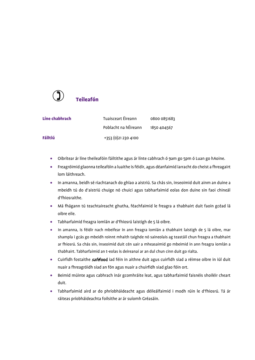

| Líne chabhrach | Tuaisceart Éireann   | 0800 0851683 |
|----------------|----------------------|--------------|
|                | Poblacht na hÉireann | 1850 404567  |
| Fáiltiú        | +353 (0) 21 230 4100 |              |

- Oibrítear ár líne theileafóin fáiltithe agus ár línte cabhrach ó 9am go 5pm ó Luan go hAoine.
- Freagróimid glaonna teileafóin a luaithe is féidir, agus déanfaimid iarracht do cheist a fhreagairt lom láithreach.
- In amanna, beidh sé riachtanach do ghlao a aistriú. Sa chás sin, inseoimid duit ainm an duine a mbeidh tú do d'aistriú chuige nó chuici agus tabharfaimid eolas don duine sin faoi chineál d'fhiosraithe.
- Má fhágann tú teachtaireacht ghutha, féachfaimid le freagra a thabhairt duit faoin gcéad lá oibre eile.
- Tabharfaimid freagra iomlán ar d'fhiosrú laistigh de 5 lá oibre.
- In amanna, is féidir nach mbeifear in ann freagra iomlán a thabhairt laistigh de 5 lá oibre, mar shampla i gcás go mbeidh roinnt mhaith taighde nó saineolais ag teastáil chun freagra a thabhairt ar fhiosrú. Sa chás sin, inseoimid duit cén uair a mheasaimid go mbeimid in ann freagra iomlán a thabhairt. Tabharfaimid an t-eolas is deireanaí ar an dul chun cinn duit go rialta.
- Cuirfidh fostaithe **safefood** iad féin in aithne duit agus cuirfidh siad a réimse oibre in iúl duit nuair a fhreagróidh siad an fón agus nuair a chuirfidh siad glao fóin ort.
- Beimid múinte agus cabhrach inár gcomhráite leat, agus tabharfaimid faisnéis shoiléir cheart duit.
- Tabharfaimid aird ar do phríobháideacht agus déileálfaimid i modh rúin le d'fhiosrú. Tá ár ráiteas príobháideachta foilsithe ar ár suíomh Gréasáin.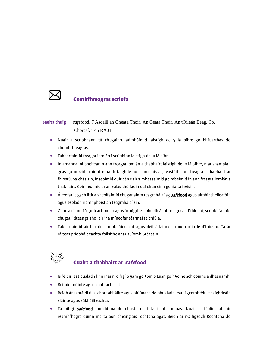

#### Comhfhreagras scríofa

#### Seolta chuig *safe*food, 7 Ascaill an Gheata Thoir, An Geata Thoir, An tOileán Beag, Co. Chorcaí, T45 RX01

- Nuair a scríobhann tú chugainn, admhóimid laistigh de 5 lá oibre go bhfuarthas do chomhfhreagras.
- Tabharfaimid freagra iomlán i scríbhinn laistigh de 10 lá oibre.
- In amanna, ní bheifear in ann freagra iomlán a thabhairt laistigh de 10 lá oibre, mar shampla i gcás go mbeidh roinnt mhaith taighde nó saineolais ag teastáil chun freagra a thabhairt ar fhiosrú. Sa chás sin, inseoimid duit cén uair a mheasaimid go mbeimid in ann freagra iomlán a thabhairt. Coinneoimid ar an eolas thú faoin dul chun cinn go rialta freisin.
- Áireofar le gach litir a sheolfaimid chugat ainm teagmhálaí ag **safefood** agus uimhir theileafóin agus seoladh ríomhphoist an teagmhálaí sin.
- Chun a chinntiú gurb achomair agus intuigthe a bheidh ár bhfreagra ar d'fhiosrú, scríobhfaimid chugat i dteanga shoiléir ina míneofar téarmaí teicniúla.
- Tabharfaimid aird ar do phríobháideacht agus déileálfaimid i modh rúin le d'fhiosrú. Tá ár ráiteas príobháideachta foilsithe ar ár suíomh Gréasáin.



#### Cuairt a thabhairt ar safefood

- Is féidir leat bualadh linn inár n-oifigí ó 9am go 5pm ó Luan go hAoine ach coinne a dhéanamh.
- Beimid múinte agus cabhrach leat.
- Beidh ár saoráidí dea-chothabháilte agus oiriúnach do bhualadh leat, i gcomhréir le caighdeáin sláinte agus sábháilteachta.
- Tá oifigí safefood inrochtana do chustaiméirí faoi mhíchumas. Nuair is féidir, tabhair réamhfhógra dúinn má tá aon cheanglais rochtana agat. Beidh ár nOifigeach Rochtana do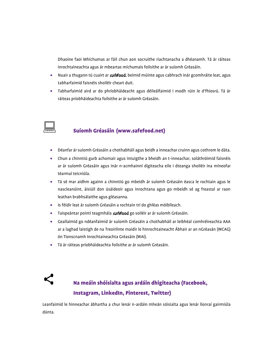Dhaoine faoi Mhíchumas ar fáil chun aon socruithe riachtanacha a dhéanamh. Tá ár ráiteas inrochtaineachta agus ár mbeartas míchumais foilsithe ar ár suíomh Gréasáin.

- Nuair a thugann tú cuairt ar **safefood**, beimid múinte agus cabhrach inár gcomhráite leat, agus tabharfaimid faisnéis shoiléir cheart duit.
- Tabharfaimid aird ar do phríobháideacht agus déileálfaimid i modh rúin le d'fhiosrú. Tá ár ráiteas príobháideachta foilsithe ar ár suíomh Gréasáin.



#### Suíomh Gréasáin (www.safefood.net)

- Déanfar ár suíomh Gréasáin a chothabháil agus beidh a inneachar cruinn agus cothrom le dáta.
- Chun a chinntiú gurb achomair agus intuigthe a bheidh an t-inneachar, soláthróimid faisnéis ar ár suíomh Gréasáin agus inár n-acmhainní digiteacha eile i dteanga shoiléir ina míneofar téarmaí teicniúla.
- Tá sé mar aidhm againn a chinntiú go mbeidh ár suíomh Gréasáin éasca le rochtain agus le nascleanúint, áisiúil don úsáideoir agus inrochtana agus go mbeidh sé ag freastal ar raon leathan brabhsálaithe agus gléasanna.
- Is féidir leat ár suíomh Gréasáin a rochtain trí do ghléas móibíleach.
- Taispeántar pointí teagmhála safefood go soiléir ar ár suíomh Gréasáin.
- Geallaimid go ndéanfaimid ár suíomh Gréasáin a chothabháil ar leibhéal comhréireachta AAA ar a laghad laistigh de na Treoirlínte maidir le hInrochtaineacht Ábhair ar an nGréasán (WCAG) ón Tionscnamh Inrochtaineachta Gréasáin (WAI).
- Tá ár ráiteas príobháideachta foilsithe ar ár suíomh Gréasáin.



#### Na meáin shóisialta agus ardáin dhigiteacha (Facebook, Instagram, LinkedIn, Pinterest, Twitter)

Leanfaimid le hinneachar ábhartha a chur lenár n-ardáin mheán sóisialta agus lenár líonraí gairmiúla dúnta.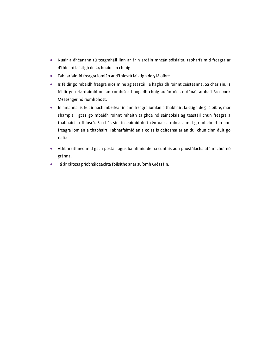- Nuair a dhéanann tú teagmháil linn ar ár n-ardáin mheán sóisialta, tabharfaimid freagra ar d'fhiosrú laistigh de 24 huaire an chloig.
- Tabharfaimid freagra iomlán ar d'fhiosrú laistigh de 5 lá oibre.
- Is féidir go mbeidh freagra níos mine ag teastáil le haghaidh roinnt ceisteanna. Sa chás sin, is féidir go n-iarrfaimid ort an comhrá a bhogadh chuig ardán níos oiriúnaí, amhail Facebook Messenger nó ríomhphost.
- In amanna, is féidir nach mbeifear in ann freagra iomlán a thabhairt laistigh de 5 lá oibre, mar shampla i gcás go mbeidh roinnt mhaith taighde nó saineolais ag teastáil chun freagra a thabhairt ar fhiosrú. Sa chás sin, inseoimid duit cén uair a mheasaimid go mbeimid in ann freagra iomlán a thabhairt. Tabharfaimid an t-eolas is deireanaí ar an dul chun cinn duit go rialta.
- Athbhreithneoimid gach postáil agus bainfimid de na cuntais aon phostálacha atá míchuí nó gránna.
- Tá ár ráiteas príobháideachta foilsithe ar ár suíomh Gréasáin.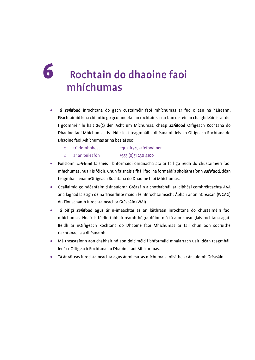### <span id="page-11-0"></span>6 Rochtain do dhaoine faoi mhíchumas

- Tá safefood inrochtana do gach custaiméir faoi mhíchumas ar fud oileán na hÉireann. Féachfaimid lena chinntiú go gcoinneofar an rochtain sin ar bun de réir an chaighdeáin is airde. I gcomhréir le halt 26(2) den Acht um Míchumas, cheap safefood Oifigeach Rochtana do Dhaoine faoi Mhíchumas. Is féidir leat teagmháil a dhéanamh leis an Oifigeach Rochtana do Dhaoine faoi Mhíchumas ar na bealaí seo:
	- o trí ríomhphost equality@safefood.net
	- o ar an teileafón +353 (0)31 230 4100
- Foilsíonn safefood faisnéis i bhformáidí oiriúnacha atá ar fáil go réidh do chustaiméirí faoi mhíchumas, nuair is féidir. Chun faisnéis a fháil faoi na formáidí a sholáthraíonn safefood, déan teagmháil lenár nOifigeach Rochtana do Dhaoine faoi Mhíchumas.
- Geallaimid go ndéanfaimid ár suíomh Gréasáin a chothabháil ar leibhéal comhréireachta AAA ar a laghad laistigh de na Treoirlínte maidir le hInrochtaineacht Ábhair ar an nGréasán (WCAG) ón Tionscnamh Inrochtaineachta Gréasáin (WAI).
- Tá oifigí safefood agus ár n-imeachtaí as an láithreán inrochtana do chustaiméirí faoi mhíchumas. Nuair is féidir, tabhair réamhfhógra dúinn má tá aon cheanglais rochtana agat. Beidh ár nOifigeach Rochtana do Dhaoine faoi Mhíchumas ar fáil chun aon socruithe riachtanacha a dhéanamh.
- Má theastaíonn aon chabhair nó aon doiciméid i bhformáid mhalartach uait, déan teagmháil lenár nOifigeach Rochtana do Dhaoine faoi Mhíchumas.
- Tá ár ráiteas inrochtaineachta agus ár mbeartas míchumais foilsithe ar ár suíomh Gréasáin.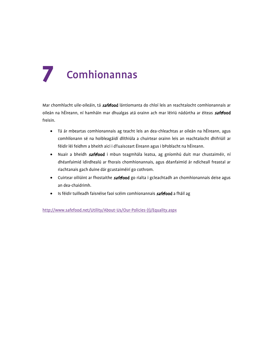## <span id="page-12-0"></span>**Comhionannas**

Mar chomhlacht uile-oileáin, tá safefood lántiomanta do chloí leis an reachtaíocht comhionannais ar oileán na hÉireann, ní hamháin mar dhualgas atá orainn ach mar léiriú nádúrtha ar éiteas *safe*food freisin.

- Tá ár mbeartas comhionannais ag teacht leis an dea-chleachtas ar oileán na hÉireann, agus comhlíonann sé na hoibleagáidí dlíthiúla a chuirtear orainn leis an reachtaíocht dhifriúil ar féidir léi feidhm a bheith aici i dTuaisceart Éireann agus i bPoblacht na hÉireann.
- Nuair a bheidh safefood i mbun teagmhála leatsa, ag gníomhú duit mar chustaiméir, ní dhéanfaimid idirdhealú ar fhorais chomhionannais, agus déanfaimid ár ndícheall freastal ar riachtanais gach duine dár gcustaiméirí go cothrom.
- Cuirtear oiliúint ar fhostaithe **safefood** go rialta i gcleachtadh an chomhionannais deise agus an dea-chaidrimh.
- Is féidir tuilleadh faisnéise faoi scéim comhionannais safefood a fháil ag

[http://www.safefood.net/Utility/About-Us/Our-Policies-\(1\)/Equality.aspx](http://www.safefood.net/Utility/About-Us/Our-Policies-(1)/Equality.aspx)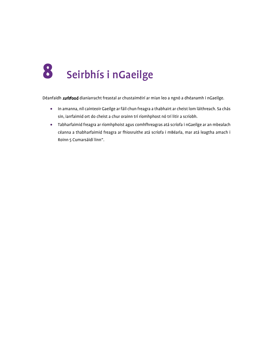<span id="page-13-0"></span>

Déanfaidh **safefood** dianiarracht freastal ar chustaiméirí ar mian leo a ngnó a dhéanamh i nGaeilge.

- In amanna, níl cainteoir Gaeilge ar fáil chun freagra a thabhairt ar cheist lom láithreach. Sa chás sin, iarrfaimid ort do cheist a chur orainn trí ríomhphost nó trí litir a scríobh.
- Tabharfaimid freagra ar ríomhphoist agus comhfhreagras atá scríofa i nGaeilge ar an mbealach céanna a thabharfaimid freagra ar fhiosruithe atá scríofa i mBéarla, mar atá leagtha amach i Roinn 5 Cumarsáidí linn".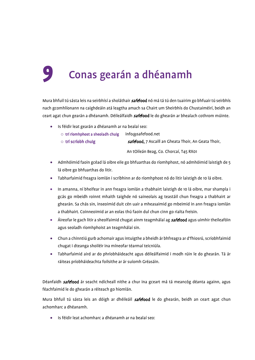### <span id="page-14-0"></span>9 Conas gearán a dhéanamh

Mura bhfuil tú sásta leis na seirbhísí a sholáthair **safefood** nó má tá tú den tuairim go bhfuair tú seirbhís nach gcomhlíonann na caighdeáin atá leagtha amach sa Chairt um Sheirbhís do Chustaiméirí, beidh an ceart agat chun gearán a dhéanamh. Déileálfaidh **safefood** le do ghearán ar bhealach cothrom múinte.

- Is féidir leat gearán a dhéanamh ar na bealaí seo:
	- $\circ$  trí ríomhphost a sheoladh chuig info@safefood.net

o trí scríobh chuig safefood, 7 Ascaill an Gheata Thoir, An Geata Thoir,

An tOileán Beag, Co. Chorcaí, T45 RX01

- Admhóimid faoin gcéad lá oibre eile go bhfuarthas do ríomhphost, nó admhóimid laistigh de 5 lá oibre go bhfuarthas do litir.
- Tabharfaimid freagra iomlán i scríbhinn ar do ríomhphost nó do litir laistigh de 10 lá oibre.
- In amanna, ní bheifear in ann freagra iomlán a thabhairt laistigh de 10 lá oibre, mar shampla i gcás go mbeidh roinnt mhaith taighde nó saineolais ag teastáil chun freagra a thabhairt ar ghearán. Sa chás sin, inseoimid duit cén uair a mheasaimid go mbeimid in ann freagra iomlán a thabhairt. Coinneoimid ar an eolas thú faoin dul chun cinn go rialta freisin.
- Áireofar le gach litir a sheolfaimid chugat ainm teagmhálaí ag **safefood** agus uimhir theileafóin agus seoladh ríomhphoist an teagmhálaí sin.
- Chun a chinntiú gurb achomair agus intuigthe a bheidh ár bhfreagra ar d'fhiosrú, scríobhfaimid chugat i dteanga shoiléir ina míneofar téarmaí teicniúla.
- Tabharfaimid aird ar do phríobháideacht agus déileálfaimid i modh rúin le do ghearán. Tá ár ráiteas príobháideachta foilsithe ar ár suíomh Gréasáin.

Déanfaidh **safefood** ár seacht ndícheall nithe a chur ina gceart má tá meancóg déanta againn, agus féachfaimid le do ghearán a réiteach go hiomlán.

Mura bhfuil tú sásta leis an dóigh ar dhéileáil safefood le do ghearán, beidh an ceart agat chun achomharc a dhéanamh.

• Is féidir leat achomharc a dhéanamh ar na bealaí seo: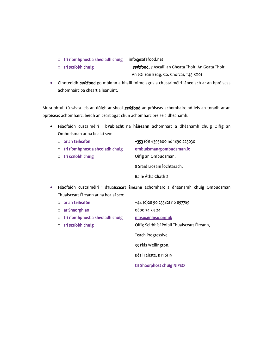o trí ríomhphost a sheoladh chuig info@safefood.net

 $\circ$  trí scríobh chuig san san San Safefood, 7 Ascaill an Gheata Thoir, An Geata Thoir, An tOileán Beag, Co. Chorcaí, T45 RX01

• Cinnteoidh **safefood** go mbíonn a bhaill foirne agus a chustaiméirí láneolach ar an bpróiseas achomhairc ba cheart a leanúint.

Mura bhfuil tú sásta leis an dóigh ar sheol **safefood** an próiseas achomhairc nó leis an toradh ar an bpróiseas achomhairc, beidh an ceart agat chun achomharc breise a dhéanamh.

- Féadfaidh custaiméirí i bPoblacht na hÉireann achomharc a dhéanamh chuig Oifig an Ombudsman ar na bealaí seo:
	- o ar an teileafón +353 (0)1 6395600 nó 1890 223030
	- o trí ríomhphost a sheoladh chuig ombudsman@ombudsman.ie
	-

o trí scríobh chuig Chuise Coifig an Ombudsman, 8 Sráid Líosain Íochtarach, Baile Átha Cliath 2

- Féadfaidh custaiméirí i dTuaisceart Éireann achomharc a dhéanamh chuig Ombudsman Thuaisceart Éireann ar na bealaí seo:
	-
	- o ar Shaorghlao 0800 34 34 24
	- o trí ríomhphost a sheoladh chuig nipso@nipso.org.uk
	-

o ar an teileafón +44 (0)28 90 233821 nó 897789 o trí scríobh chuig Coifig Seirbhísí Poiblí Thuaisceart Éireann, Teach Progressive,

33 Plás Wellington,

Béal Feirste, BT1 6HN

trí Shaorphost chuig NIPSO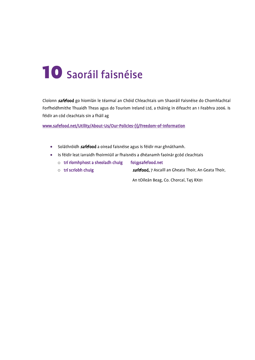### <span id="page-16-0"></span>10 Saoráil faisnéise

Cloíonn **safefood** go hiomlán le téarmaí an Chóid Chleachtais um Shaoráil Faisnéise do Chomhlachtaí Forfheidhmithe Thuaidh Theas agus do Tourism Ireland Ltd, a tháinig in éifeacht an 1 Feabhra 2006. Is féidir an cód cleachtais sin a fháil ag

[www.safefood.net/Utility/About-Us/Our-Policies-\(1\)/Freedom-of-Information](http://www.safefood.net/Utility/About-Us/Our-Policies-(1)/Freedom-of-Information) 

- Soláthróidh *safe*food a oiread faisnéise agus is féidir mar ghnáthamh.
- Is féidir leat iarraidh fhoirmiúil ar fhaisnéis a dhéanamh faoinár gcód cleachtais
	- o trí ríomhphost a sheoladh chuig foi@safefood.net
	- o trí scríobh chuig safefood, 7 Ascaill an Gheata Thoir, An Geata Thoir,

An tOileán Beag, Co. Chorcaí, T45 RX01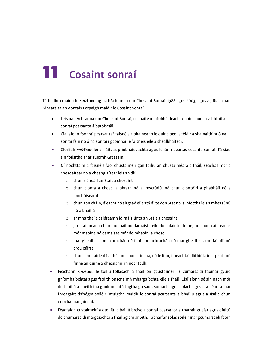### <span id="page-17-0"></span>11 Cosaint sonraí

Tá feidhm maidir le **safefood** ag na hAchtanna um Chosaint Sonraí, 1988 agus 2003, agus ag Rialachán Ginearálta an Aontais Eorpaigh maidir le Cosaint Sonraí.

- Leis na hAchtanna um Chosaint Sonraí, cosnaítear príobháideacht daoine aonair a bhfuil a sonraí pearsanta á bpróiseáil.
- Ciallaíonn "sonraí pearsanta" faisnéis a bhaineann le duine beo is féidir a shainaithint ó na sonraí féin nó ó na sonraí i gcomhar le faisnéis eile a shealbhaítear.
- Cloífidh safefood lenár ráiteas príobháideachta agus lenár mbeartas cosanta sonraí. Tá siad sin foilsithe ar ár suíomh Gréasáin.
- Ní nochtfaimid faisnéis faoi chustaiméir gan toiliú an chustaiméara a fháil, seachas mar a cheadaítear nó a cheanglaítear leis an dlí:
	- o chun slándáil an Stáit a chosaint
	- o chun cionta a chosc, a bhrath nó a imscrúdú, nó chun ciontóirí a ghabháil nó a ionchúiseamh
	- o chun aon cháin, dleacht nó airgead eile atá dlite don Stát nó is iníoctha leis a mheasúnú nó a bhailiú
	- o ar mhaithe le caidreamh idirnáisiúnta an Stáit a chosaint
	- o go práinneach chun díobháil nó damáiste eile do shláinte duine, nó chun caillteanas mór maoine nó damáiste mór do mhaoin, a chosc
	- o mar gheall ar aon achtachán nó faoi aon achtachán nó mar gheall ar aon riail dlí nó ordú cúirte
	- o chun comhairle dlí a fháil nó chun críocha, nó le linn, imeachtaí dlíthiúla inar páirtí nó finné an duine a dhéanann an nochtadh.
- Féachann safefood le toiliú follasach a fháil ón gcustaiméir le cumarsáidí faoinár gcuid gníomhaíochtaí agus faoi thionscnaimh mhargaíochta eile a fháil. Ciallaíonn sé sin nach mór do thoiliú a bheith ina ghníomh atá tugtha go saor, sonrach agus eolach agus atá déanta mar fhreagairt d'fhógra soiléir intuigthe maidir le sonraí pearsanta a bhailiú agus a úsáid chun críocha margaíochta.
- Féadfaidh custaiméirí a dtoiliú le bailiú breise a sonraí pearsanta a tharraingt siar agus diúltú do chumarsáidí margaíochta a fháil ag am ar bith. Tabharfar eolas soiléir inár gcumarsáidí faoin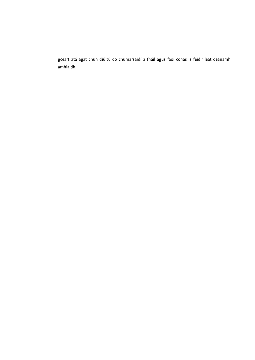gceart atá agat chun diúltú do chumarsáidí a fháil agus faoi conas is féidir leat déanamh amhlaidh.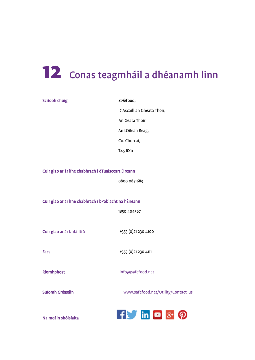## <span id="page-19-0"></span>12 Conas teagmháil a dhéanamh linn

| Scríobh chuig                                          | safefood,                           |  |
|--------------------------------------------------------|-------------------------------------|--|
|                                                        | 7 Ascaill an Gheata Thoir,          |  |
|                                                        | An Geata Thoir,                     |  |
|                                                        | An tOileán Beag,                    |  |
|                                                        | Co. Chorcaí,                        |  |
|                                                        | T45 RX01                            |  |
|                                                        |                                     |  |
| Cuir glao ar ár líne chabhrach i dTuaisceart Éireann   |                                     |  |
|                                                        | 0800 0851683                        |  |
|                                                        |                                     |  |
| Cuir glao ar ár líne chabhrach i bPoblacht na hÉireann |                                     |  |
|                                                        | 1850 404567                         |  |
|                                                        |                                     |  |
| Cuir glao ar ár bhfáiltiú                              | +353 (0) 21 230 4100                |  |
|                                                        |                                     |  |
| <b>Facs</b>                                            | +353 (0)21 230 4111                 |  |
|                                                        |                                     |  |
| Ríomhphost                                             | info@safefood.net                   |  |
|                                                        |                                     |  |
| Suíomh Gréasáin                                        | www.safefood.net/Utility/Contact-us |  |
|                                                        |                                     |  |
| Na meáin shóisialta                                    | $f$ in $\alpha$<br>$8+$             |  |